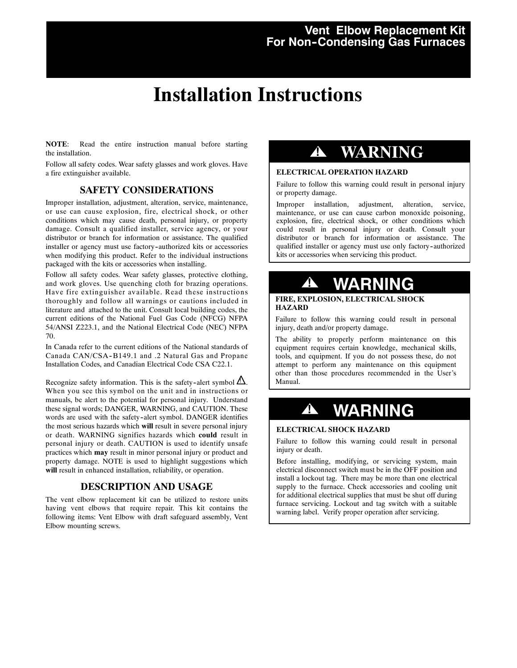## **Vent Elbow Replacement Kit For Non--Condensing Gas Furnaces**

# **Installation Instructions**

**NOTE**: Read the entire instruction manual before starting the installation.

Follow all safety codes. Wear safety glasses and work gloves. Have a fire extinguisher available.

### **SAFETY CONSIDERATIONS**

Improper installation, adjustment, alteration, service, maintenance, or use can cause explosion, fire, electrical shock, or other conditions which may cause death, personal injury, or property damage. Consult a qualified installer, service agency, or your distributor or branch for information or assistance. The qualified installer or agency must use factory-authorized kits or accessories when modifying this product. Refer to the individual instructions packaged with the kits or accessories when installing.

Follow all safety codes. Wear safety glasses, protective clothing, and work gloves. Use quenching cloth for brazing operations. Have fire extinguisher available. Read these instructions thoroughly and follow all warnings or cautions included in literature and attached to the unit. Consult local building codes, the current editions of the National Fuel Gas Code (NFCG) NFPA 54/ANSI Z223.1, and the National Electrical Code (NEC) NFPA 70.

In Canada refer to the current editions of the National standards of Canada CAN/CSA-B149.1 and .2 Natural Gas and Propane Installation Codes, and Canadian Electrical Code CSA C22.1.

Recognize safety information. This is the safety-alert symbol  $\mathbf{I}$ . When you see this symbol on the unit and in instructions or manuals, be alert to the potential for personal injury. Understand these signal words; DANGER, WARNING, and CAUTION. These words are used with the safety-alert symbol. DANGER identifies the most serious hazards which **will** result in severe personal injury or death. WARNING signifies hazards which **could** result in personal injury or death. CAUTION is used to identify unsafe practices which **may** result in minor personal injury or product and property damage. NOTE is used to highlight suggestions which **will** result in enhanced installation, reliability, or operation.

## **DESCRIPTION AND USAGE**

The vent elbow replacement kit can be utilized to restore units having vent elbows that require repair. This kit contains the following items: Vent Elbow with draft safeguard assembly, Vent Elbow mounting screws.

## **! WARNING**

### **ELECTRICAL OPERATION HAZARD**

Failure to follow this warning could result in personal injury or property damage.

Improper installation, adjustment, alteration, service, maintenance, or use can cause carbon monoxide poisoning, explosion, fire, electrical shock, or other conditions which could result in personal injury or death. Consult your distributor or branch for information or assistance. The qualified installer or agency must use only factory-authorized kits or accessories when servicing this product.

## **! WARNING**

### **FIRE, EXPLOSION, ELECTRICAL SHOCK HAZARD**

Failure to follow this warning could result in personal injury, death and/or property damage.

The ability to properly perform maintenance on this equipment requires certain knowledge, mechanical skills, tools, and equipment. If you do not possess these, do not attempt to perform any maintenance on this equipment other than those procedures recommended in the User's Manual.

# **! WARNING**

#### **ELECTRICAL SHOCK HAZARD**

Failure to follow this warning could result in personal injury or death.

Before installing, modifying, or servicing system, main electrical disconnect switch must be in the OFF position and install a lockout tag. There may be more than one electrical supply to the furnace. Check accessories and cooling unit for additional electrical supplies that must be shut off during furnace servicing. Lockout and tag switch with a suitable warning label. Verify proper operation after servicing.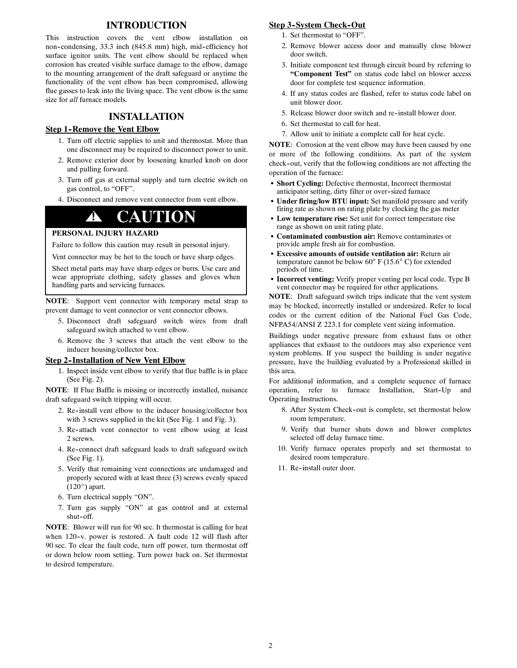### **INTRODUCTION**

This instruction covers the vent elbow installation on non--condensing, 33.3 inch (845.8 mm) high, mid--efficiency hot surface ignitor units. The vent elbow should be replaced when corrosion has created visible surface damage to the elbow, damage to the mounting arrangement of the draft safeguard or anytime the functionality of the vent elbow has been compromised, allowing flue gasses to leak into the living space. The vent elbow is the same size for *all* furnace models.

## **INSTALLATION**

#### **Step 1-Remove the Vent Elbow**

- 1. Turn off electric supplies to unit and thermostat. More than one disconnect may be required to disconnect power to unit.
- 2. Remove exterior door by loosening knurled knob on door and pulling forward.
- 3. Turn off gas at external supply and turn electric switch on gas control, to "OFF".
- 4. Disconnect and remove vent connector from vent elbow.

## **! CAUTION**

#### **PERSONAL INJURY HAZARD**

Failure to follow this caution may result in personal injury.

Vent connector may be hot to the touch or have sharp edges.

Sheet metal parts may have sharp edges or burrs. Use care and wear appropriate clothing, safety glasses and gloves when handling parts and servicing furnaces.

**NOTE**: Support vent connector with temporary metal strap to prevent damage to vent connector or vent connector elbows.

- 5. Disconnect draft safeguard switch wires from draft safeguard switch attached to vent elbow.
- 6. Remove the 3 screws that attach the vent elbow to the inducer housing/collector box.

#### **Step 2--Installation of New Vent Elbow**

1. Inspect inside vent elbow to verify that flue baffle is in place (See Fig. 2).

**NOTE**: If Flue Baffle is missing or incorrectly installed, nuisance draft safeguard switch tripping will occur.

- 2. Re--install vent elbow to the inducer housing/collector box with 3 screws supplied in the kit (See Fig. 1 and Fig. 3).
- 3. Re--attach vent connector to vent elbow using at least 2 screws.
- 4. Re--connect draft safeguard leads to draft safeguard switch (See Fig. 1).
- 5. Verify that remaining vent connections are undamaged and properly secured with at least three (3) screws evenly spaced  $(120^\circ)$  apart.
- 6. Turn electrical supply "ON".
- 7. Turn gas supply "ON" at gas control and at external shut-off.

**NOTE**: Blower will run for 90 sec. It thermostat is calling for heat when 120-v. power is restored. A fault code 12 will flash after 90 sec. To clear the fault code, turn off power, turn thermostat off or down below room setting. Turn power back on. Set thermostat to desired temperature.

#### **Step 3-System Check-Out**

- 1. Set thermostat to "OFF".
- 2. Remove blower access door and manually close blower door switch.
- 3. Initiate component test through circuit board by referring to **"Component Test"** on status code label on blower access door for complete test sequence information.
- 4. If any status codes are flashed, refer to status code label on unit blower door.
- 5. Release blower door switch and re--install blower door.
- 6. Set thermostat to call for heat.
- 7. Allow unit to initiate a complete call for heat cycle.

**NOTE**: Corrosion at the vent elbow may have been caused by one or more of the following conditions. As part of the system check--out, verify that the following conditions are not affecting the operation of the furnace:

- Short Cycling: Defective thermostat, Incorrect thermostat anticipator setting, dirty filter or over-sized furnace
- Under firing/low BTU input: Set manifold pressure and verify firing rate as shown on rating plate by clocking the gas meter
- Low temperature rise: Set unit for correct temperature rise range as shown on unit rating plate.
- Contaminated combustion air: Remove contaminates or provide ample fresh air for combustion.
- **Excessive amounts of outside ventilation air: Return air** temperature cannot be below 60° F (15.6° C) for extended periods of time.
- Incorrect venting: Verify proper venting per local code. Type B vent connector may be required for other applications.

**NOTE**: Draft safeguard switch trips indicate that the vent system may be blocked, incorrectly installed or undersized. Refer to local codes or the current edition of the National Fuel Gas Code, NFPA54/ANSI Z 223.1 for complete vent sizing information.

Buildings under negative pressure from exhaust fans or other appliances that exhaust to the outdoors may also experience vent system problems. If you suspect the building is under negative pressure, have the building evaluated by a Professional skilled in this area.

For additional information, and a complete sequence of furnace operation, refer to furnace Installation, Start-Up and Operating Instructions.

- 8. After System Check-out is complete, set thermostat below room temperature.
- 9. Verify that burner shuts down and blower completes selected off delay furnace time.
- 10. Verify furnace operates properly and set thermostat to desired room temperature.
- 11. Re--install outer door.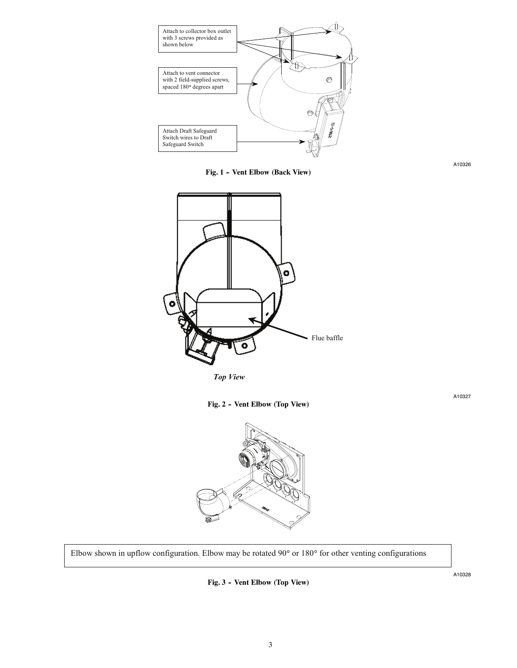

Fig. 1 - Vent Elbow (Back View)



 *Top View*





Elbow shown in upflow configuration. Elbow may be rotated 90° or 180° for other venting configurations

Fig. 3 - Vent Elbow (Top View)

A10328

A10327